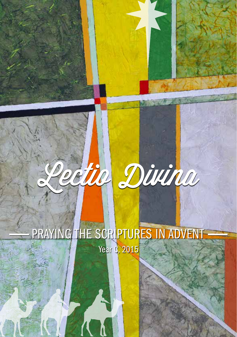# ctie Divina

## PRAYING THE SCRIPTURES IN ADVENT Year C, 2015

 $\hat{\mathcal{P}}$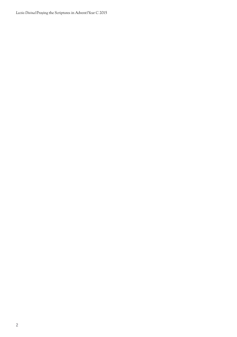*Lectio Divina***|**Praying the Scriptures in Advent**|**Year C 2015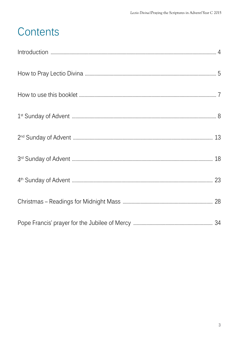## Contents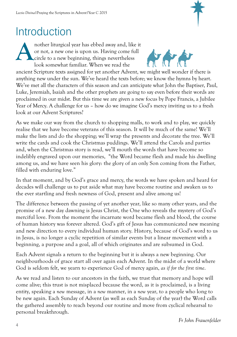## **Introduction**

nother liturgical year has ebbed away and, like it or not, a new one is upon us. Having come full circle to a new beginning, things nevertheless look somewhat familiar. When we read the **A**



ancient Scripture texts assigned for yet another Advent, we might well wonder if there is anything new under the sun. We've heard the texts before; we know the hymns by heart. We've met all the characters of this season and can anticipate what John the Baptiser, Paul, Luke, Jeremiah, Isaiah and the other prophets are going to say even before their words are proclaimed in our midst. But this time we are given a new focus by Pope Francis, a Jubilee Year of Mercy. A challenge for us – how do we imagine God's mercy inviting us to a fresh look at our Advent Scriptures?

As we make our way from the church to shopping malls, to work and to play, we quickly realise that we have become veterans of this season. It will be much of the same! We'll make the lists and do the shopping; we'll wrap the presents and decorate the tree. We'll write the cards and cook the Christmas puddings. We'll attend the Carols and parties and, when the Christmas story is read, we'll mouth the words that have become so indelibly engraved upon our memories, "the Word became flesh and made his dwelling among us, and we have seen his glory: the glory of an only Son coming from the Father, filled with enduring love."

In that moment, and by God's grace and mercy, the words we have spoken and heard for decades will challenge us to put aside what may have become routine and awaken us to the ever startling and fresh newness of God, present and alive among us!

The difference between the passing of yet another year, like so many other years, and the promise of a new day dawning is Jesus Christ, the One who reveals the mystery of God's merciful love. From the moment the incarnate word became flesh and blood, the course of human history was forever altered. God's gift of Jesus has communicated new meaning and new direction to every individual human story. History, because of God's word to us in Jesus, is no longer a cyclic repetition of similar events but a linear movement with a beginning, a purpose and a goal, all of which originates and are subsumed in God.

Each Advent signals a return to the beginning but it is always a new beginning. Our neighbourhoods of grace start all over again each Advent. In the midst of a world where God is seldom felt, we yearn to experience God of mercy again, *as if for the first time*.

As we read and listen to our ancestors in the faith, we trust that memory and hope will come alive; this trust is not misplaced because the word, as it is proclaimed, is a living entity, speaking a *new* message, in a *new* manner, in a *new* year, to a people who long to be new again. Each Sunday of Advent (as well as each Sunday of the year) the Word calls the gathered assembly to reach beyond our routine and move from cyclical rehearsal to personal breakthrough.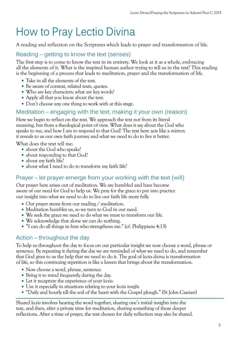## How to Pray Lectio Divina

A reading and reflection on the Scriptures which leads to prayer and transformation of life.

#### Reading – getting to know the text (senses)

The first step is to come to know the text in its entirety. We look at it as a whole, embracing all the elements of it. What is the inspired human author trying to tell us in the text? This reading is the beginning of a process that leads to meditation, prayer and the transformation of life.

- Take in all the elements of the text.
- Be aware of context, related texts, quotes.
- Who are key characters; what are key words?
- Apply all that you know about the text.
- Don't choose any one thing to work with at this stage.

#### Meditation – engaging with the text, making it your own (reason)

Here we begin to reflect on the text. We approach the text not from its literal meaning, but from a theological point of view. What does it say about the God who speaks to me, and how I am to respond to that God? The text here acts like a mirror; it reveals to us our own faith journey and what we need to do to live it better.

What does the text tell me:

- about the God who speaks?
- about responding to that God?
- about my faith life?
- about what I need to do to transform my faith life?

#### Prayer – let prayer emerge from your working with the text (will)

Our prayer here arises out of meditation. We are humbled and have become aware of our need for God to help us. We pray for the grace to put into practice our insight into what we need to do to live our faith life more fully

- Our prayer stems from our reading / meditation.
- Meditation humbles us, so we turn to God in our need.
- We seek the grace we need to do what we must to transform our life.
- We acknowledge that alone we can do nothing.
- "I can do all things in him who strengthens me." (cf. Philippians 4:13)

#### Action – throughout the day

To help us throughout the day to focus on our particular insight we now choose a word, phrase or sentence. By repeating it during the day we are reminded of what we need to do, and remember that God gives to us the help that we need to do it. The goal of *lectio divina* is transformation of life, so this continuing repetition is like a leaven that brings about the transformation.

- Now choose a word, phrase, sentence.
- Bring it to mind frequently during the day.
- Let it recapture the experience of your *lectio.*
- Use it especially in situations relating to your *lectio insight.*
- "Daily and hourly till the soil of the heart with the Gospel plough." (St John Cassian)

Shared *lectio* involves hearing the word together, sharing one's initial insights into the text, and then, after a private time for meditation, sharing something of those deeper reflections. After a time of prayer, the text chosen for daily reflection may also be shared.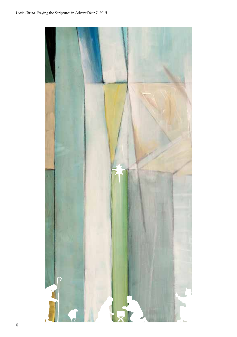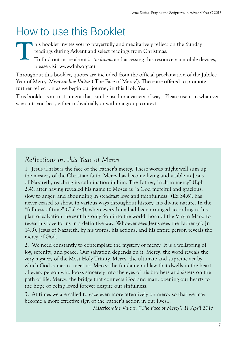## How to use this Booklet

his booklet invites you to prayerfully and meditatively reflect on the Sunday readings during Advent and select readings from Christmas. **T**

To find out more about *lectio divina* and accessing this resource via mobile devices, please visit www.dbb.org.au

Throughout this booklet, quotes are included from the official proclamation of the Jubilee Year of Mercy, *Misericordiae Vultus* ('The Face of Mercy'). These are offered to promote further reflection as we begin our journey in this Holy Year.

This booklet is an instrument that can be used in a variety of ways. Please use it in whatever way suits you best, either individually or within a group context.

#### *Reflections on this Year of Mercy*

1. Jesus Christ is the face of the Father's mercy. These words might well sum up the mystery of the Christian faith. Mercy has become living and visible in Jesus of Nazareth, reaching its culmination in him. The Father, "rich in mercy" (Eph 2:4), after having revealed his name to Moses as "a God merciful and gracious, slow to anger, and abounding in steadfast love and faithfulness" (Ex 34:6), has never ceased to show, in various ways throughout history, his divine nature. In the "fullness of time" (Gal 4:4), when everything had been arranged according to his plan of salvation, he sent his only Son into the world, born of the Virgin Mary, to reveal his love for us in a definitive way. Whoever sees Jesus sees the Father (cf. Jn 14:9). Jesus of Nazareth, by his words, his actions, and his entire person reveals the mercy of God.

2. We need constantly to contemplate the mystery of mercy. It is a wellspring of joy, serenity, and peace. Our salvation depends on it. Mercy: the word reveals the very mystery of the Most Holy Trinity. Mercy: the ultimate and supreme act by which God comes to meet us. Mercy: the fundamental law that dwells in the heart of every person who looks sincerely into the eyes of his brothers and sisters on the path of life. Mercy: the bridge that connects God and man, opening our hearts to the hope of being loved forever despite our sinfulness.

3. At times we are called to gaze even more attentively on mercy so that we may become a more effective sign of the Father's action in our lives…

*Misericordiae Vultus, ('The Face of Mercy') 11 April 2015*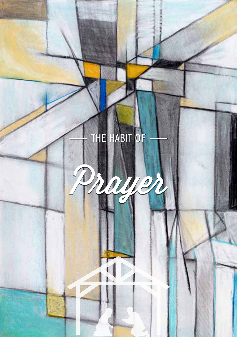## THE HABIT OF

auer

 $\overline{\mathcal{A}}$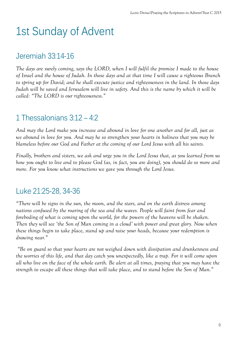## 1st Sunday of Advent

#### Jeremiah 33:14-16

*The days are surely coming, says the LORD, when I will fulfil the promise I made to the house of Israel and the house of Judah. In those days and at that time I will cause a righteous Branch to spring up for David; and he shall execute justice and righteousness in the land. In those days Judah will be saved and Jerusalem will live in safety. And this is the name by which it will be called: "The LORD is our righteousness."* 

#### 1 Thessalonians 3:12 – 4:2

*And may the Lord make you increase and abound in love for one another and for all, just as we abound in love for you. And may he so strengthen your hearts in holiness that you may be blameless before our God and Father at the coming of our Lord Jesus with all his saints.* 

*Finally, brothers and sisters, we ask and urge you in the Lord Jesus that, as you learned from us how you ought to live and to please God (as, in fact, you are doing), you should do so more and more. For you know what instructions we gave you through the Lord Jesus.* 

#### Luke 21:25-28, 34-36

*"There will be signs in the sun, the moon, and the stars, and on the earth distress among nations confused by the roaring of the sea and the waves. People will faint from fear and foreboding of what is coming upon the world, for the powers of the heavens will be shaken. Then they will see 'the Son of Man coming in a cloud' with power and great glory. Now when these things begin to take place, stand up and raise your heads, because your redemption is drawing near."* 

 *"Be on guard so that your hearts are not weighed down with dissipation and drunkenness and the worries of this life, and that day catch you unexpectedly, like a trap. For it will come upon all who live on the face of the whole earth. Be alert at all times, praying that you may have the strength to escape all these things that will take place, and to stand before the Son of Man."*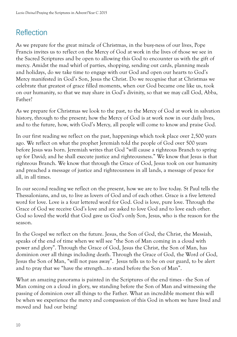#### Reflection

As we prepare for the great miracle of Christmas, in the busy-ness of our lives, Pope Francis invites us to reflect on the Mercy of God at work in the lives of those we see in the Sacred Scriptures and be open to allowing this God to encounter us with the gift of mercy. Amidst the mad whirl of parties, shopping, sending out cards, planning meals and holidays, do we take time to engage with our God and open our hearts to God's Mercy manifested in God's Son, Jesus the Christ. Do we recognise that at Christmas we celebrate that greatest of grace filled moments, when our God became one like us, took on our humanity, so that we may share in God's divinity, so that we may call God, Abba, Father?

As we prepare for Christmas we look to the past, to the Mercy of God at work in salvation history, through to the present; how the Mercy of God is at work now in our daily lives, and to the future, how, with God's Mercy, all people will come to know and praise God.

In our first reading we reflect on the past, happenings which took place over 2,500 years ago. We reflect on what the prophet Jeremiah told the people of God over 500 years before Jesus was born. Jeremiah writes that God "will cause a righteous Branch to spring up for David; and he shall execute justice and righteousness." We know that Jesus is that righteous Branch. We know that through the Grace of God, Jesus took on our humanity and preached a message of justice and righteousness in all lands, a message of peace for all, in all times.

In our second reading we reflect on the present, how we are to live today. St Paul tells the Thessalonians, and us, to live as lovers of God and of each other. Grace is a five lettered word for love. Love is a four lettered word for God. God is love, pure love. Through the Grace of God we receive God's love and are asked to love God and to love each other. God so loved the world that God gave us God's only Son, Jesus, who is the reason for the season.

In the Gospel we reflect on the future. Jesus, the Son of God, the Christ, the Messiah, speaks of the end of time when we will see "the Son of Man coming in a cloud with power and glory". Through the Grace of God, Jesus the Christ, the Son of Man, has dominion over all things including death. Through the Grace of God, the Word of God, Jesus the Son of Man, "will not pass away". Jesus tells us to be on our guard, to be alert and to pray that we "have the strength...to stand before the Son of Man".

What an amazing panorama is painted in the Scriptures of the end times - the Son of Man coming on a cloud in glory, we standing before the Son of Man and witnessing the passing of dominion over all things to the Father. What an incredible moment this will be when we experience the mercy and compassion of this God in whom we have lived and moved and had our being!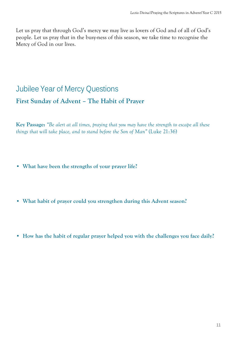Let us pray that through God's mercy we may live as lovers of God and of all of God's people. Let us pray that in the busy-ness of this season, we take time to recognise the Mercy of God in our lives.

#### Jubilee Year of Mercy Questions **First Sunday of Advent – The Habit of Prayer**

**Key Passage:** *"Be alert at all times, praying that you may have the strength to escape all these things that will take place, and to stand before the Son of Man"* (Luke 21:36)

- **• What have been the strengths of your prayer life?**
- **• What habit of prayer could you strengthen during this Advent season?**
- **• How has the habit of regular prayer helped you with the challenges you face daily?**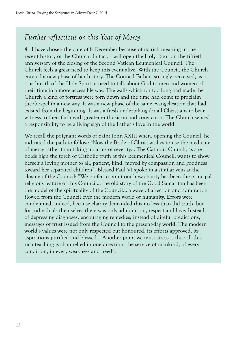#### *Further reflections on this Year of Mercy*

4. I have chosen the date of 8 December because of its rich meaning in the recent history of the Church. In fact, I will open the Holy Door on the fiftieth anniversary of the closing of the Second Vatican Ecumenical Council. The Church feels a great need to keep this event alive. With the Council, the Church entered a new phase of her history. The Council Fathers strongly perceived, as a true breath of the Holy Spirit, a need to talk about God to men and women of their time in a more accessible way. The walls which for too long had made the Church a kind of fortress were torn down and the time had come to proclaim the Gospel in a new way. It was a new phase of the same evangelization that had existed from the beginning. It was a fresh undertaking for all Christians to bear witness to their faith with greater enthusiasm and conviction. The Church sensed a responsibility to be a living sign of the Father's love in the world.

We recall the poignant words of Saint John XXIII when, opening the Council, he indicated the path to follow: "Now the Bride of Christ wishes to use the medicine of mercy rather than taking up arms of severity… The Catholic Church, as she holds high the torch of Catholic truth at this Ecumenical Council, wants to show herself a loving mother to all; patient, kind, moved by compassion and goodness toward her separated children". Blessed Paul VI spoke in a similar vein at the closing of the Council: "We prefer to point out how charity has been the principal religious feature of this Council… the old story of the Good Samaritan has been the model of the spirituality of the Council… a wave of affection and admiration flowed from the Council over the modern world of humanity. Errors were condemned, indeed, because charity demanded this no less than did truth, but for individuals themselves there was only admonition, respect and love. Instead of depressing diagnoses, encouraging remedies; instead of direful predictions, messages of trust issued from the Council to the present-day world. The modern world's values were not only respected but honoured, its efforts approved, its aspirations purified and blessed… Another point we must stress is this: all this rich teaching is channelled in one direction, the service of mankind, of every condition, in every weakness and need".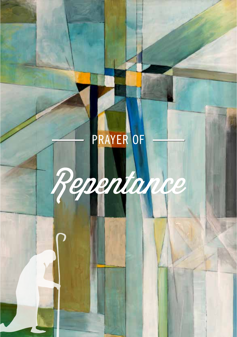## PRAYER OF

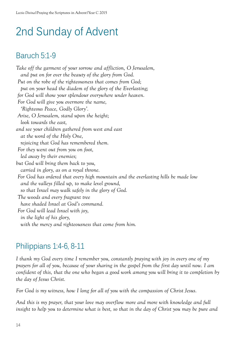## 2nd Sunday of Advent

#### Baruch 5:1-9

*Take off the garment of your sorrow and affliction, O Jerusalem, and put on for ever the beauty of the glory from God. Put on the robe of the righteousness that comes from God; put on your head the diadem of the glory of the Everlasting; for God will show your splendour everywhere under heaven. For God will give you evermore the name, 'Righteous Peace, Godly Glory'. Arise, O Jerusalem, stand upon the height; look towards the east, and see your children gathered from west and east at the word of the Holy One, rejoicing that God has remembered them. For they went out from you on foot, led away by their enemies; but God will bring them back to you, carried in glory, as on a royal throne. For God has ordered that every high mountain and the everlasting hills be made low and the valleys filled up, to make level ground, so that Israel may walk safely in the glory of God. The woods and every fragrant tree have shaded Israel at God's command. For God will lead Israel with joy, in the light of his glory, with the mercy and righteousness that come from him.* 

#### Philippians 1:4-6, 8-11

*I thank my God every time I remember you, constantly praying with joy in every one of my prayers for all of you, because of your sharing in the gospel from the first day until now. I am confident of this, that the one who began a good work among you will bring it to completion by the day of Jesus Christ.* 

*For God is my witness, how I long for all of you with the compassion of Christ Jesus.* 

*And this is my prayer, that your love may overflow more and more with knowledge and full insight to help you to determine what is best, so that in the day of Christ you may be pure and*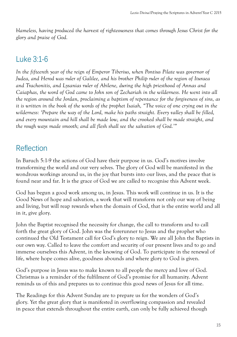*blameless, having produced the harvest of righteousness that comes through Jesus Christ for the glory and praise of God.* 

#### Luke 3:1-6

*In the fifteenth year of the reign of Emperor Tiberius, when Pontius Pilate was governor of Judea, and Herod was ruler of Galilee, and his brother Philip ruler of the region of Ituraea and Trachonitis, and Lysanias ruler of Abilene, during the high priesthood of Annas and Caiaphas, the word of God came to John son of Zechariah in the wilderness. He went into all the region around the Jordan, proclaiming a baptism of repentance for the forgiveness of sins, as it is written in the book of the words of the prophet Isaiah, "The voice of one crying out in the wilderness: 'Prepare the way of the Lord, make his paths straight. Every valley shall be filled, and every mountain and hill shall be made low, and the crooked shall be made straight, and the rough ways made smooth; and all flesh shall see the salvation of God.'"* 

#### Reflection

In Baruch 5:1-9 the actions of God have their purpose in us. God's motives involve transforming the world and our very selves. The glory of God will be manifested in the wondrous workings around us, in the joy that bursts into our lives, and the peace that is found near and far. It is the grace of God we are called to recognise this Advent week.

God has begun a good work among us, in Jesus. This work will continue in us. It is the Good News of hope and salvation, a work that will transform not only our way of being and living, but will reap rewards when the domain of God, that is the entire world and all in it, give glory.

John the Baptist recognised the necessity for change, the call to transform and to call forth the great glory of God. John was the forerunner to Jesus and the prophet who continued the Old Testament call for God's glory to reign. We are all John the Baptists in our own way. Called to leave the comfort and security of our present lives and to go and immerse ourselves this Advent, in the knowing of God. To participate in the renewal of life, where hope comes alive, goodness abounds and where glory to God is given.

God's purpose in Jesus was to make known to all people the mercy and love of God. Christmas is a reminder of the fulfilment of God's promise for all humanity. Advent reminds us of this and prepares us to continue this good news of Jesus for all time.

The Readings for this Advent Sunday are to prepare us for the wonders of God's glory. Yet the great glory that is manifested in overflowing compassion and revealed in peace that extends throughout the entire earth, can only be fully achieved though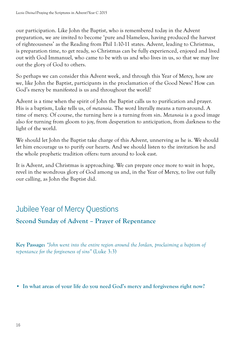our participation. Like John the Baptist, who is remembered today in the Advent preparation, we are invited to become 'pure and blameless, having produced the harvest of righteousness' as the Reading from Phil 1:10-11 states. Advent, leading to Christmas, is preparation time, to get ready, so Christmas can be fully experienced, enjoyed and lived out with God Immanuel, who came to be with us and who lives in us, so that we may live out the glory of God to others.

So perhaps we can consider this Advent week, and through this Year of Mercy, how are we, like John the Baptist, participants in the proclamation of the Good News? How can God's mercy be manifested is us and throughout the world?

Advent is a time when the spirit of John the Baptist calls us to purification and prayer. His is a baptism, Luke tells us, of *metanoia*. The word literally means a turn-around. A time of mercy. Of course, the turning here is a turning from sin. *Metanoia* is a good image also for turning from gloom to joy, from desperation to anticipation, from darkness to the light of the world.

We should let John the Baptist take charge of this Advent, unnerving as he is. We should let him encourage us to purify our hearts. And we should listen to the invitation he and the whole prophetic tradition offers: turn around to look east.

It is Advent, and Christmas is approaching. We can prepare once more to wait in hope, revel in the wondrous glory of God among us and, in the Year of Mercy, to live out fully our calling, as John the Baptist did.

#### Jubilee Year of Mercy Questions

#### **Second Sunday of Advent – Prayer of Repentance**

**Key Passage:** *"John went into the entire region around the Jordan, proclaiming a baptism of repentance for the forgiveness of sins"* (Luke 3:3)

**• In what areas of your life do you need God's mercy and forgiveness right now?**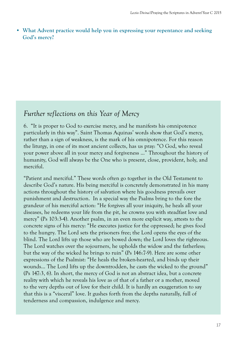**• What Advent practice would help you in expressing your repentance and seeking God's mercy?**

#### *Further reflections on this Year of Mercy*

6. "It is proper to God to exercise mercy, and he manifests his omnipotence particularly in this way". Saint Thomas Aquinas' words show that God's mercy, rather than a sign of weakness, is the mark of his omnipotence. For this reason the liturgy, in one of its most ancient collects, has us pray: "O God, who reveal your power above all in your mercy and forgiveness …" Throughout the history of humanity, God will always be the One who is present, close, provident, holy, and merciful.

"Patient and merciful." These words often go together in the Old Testament to describe God's nature. His being merciful is concretely demonstrated in his many actions throughout the history of salvation where his goodness prevails over punishment and destruction. In a special way the Psalms bring to the fore the grandeur of his merciful action: "He forgives all your iniquity, he heals all your diseases, he redeems your life from the pit, he crowns you with steadfast love and mercy" (Ps 103:3-4). Another psalm, in an even more explicit way, attests to the concrete signs of his mercy: "He executes justice for the oppressed; he gives food to the hungry. The Lord sets the prisoners free; the Lord opens the eyes of the blind. The Lord lifts up those who are bowed down; the Lord loves the righteous. The Lord watches over the sojourners, he upholds the widow and the fatherless; but the way of the wicked he brings to ruin" (Ps 146:7-9). Here are some other expressions of the Psalmist: "He heals the broken-hearted, and binds up their wounds… The Lord lifts up the downtrodden, he casts the wicked to the ground" (Ps 147:3, 6). In short, the mercy of God is not an abstract idea, but a concrete reality with which he reveals his love as of that of a father or a mother, moved to the very depths out of love for their child. It is hardly an exaggeration to say that this is a "visceral" love. It gushes forth from the depths naturally, full of tenderness and compassion, indulgence and mercy.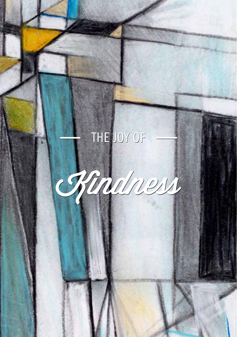## THE JOY OF

Rindness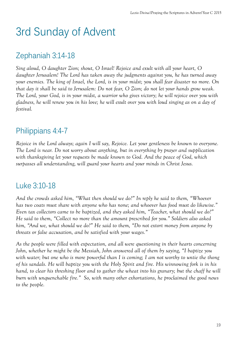## 3rd Sunday of Advent

#### Zephaniah 3:14-18

*Sing aloud, O daughter Zion; shout, O Israel! Rejoice and exult with all your heart, O daughter Jerusalem! The Lord has taken away the judgments against you, he has turned away your enemies. The king of Israel, the Lord, is in your midst; you shall fear disaster no more. On that day it shall be said to Jerusalem: Do not fear, O Zion; do not let your hands grow weak. The Lord, your God, is in your midst, a warrior who gives victory; he will rejoice over you with gladness, he will renew you in his love; he will exult over you with loud singing as on a day of festival.* 

#### Philippians 4:4-7

*Rejoice in the Lord always; again I will say, Rejoice. Let your gentleness be known to everyone. The Lord is near. Do not worry about anything, but in everything by prayer and supplication with thanksgiving let your requests be made known to God. And the peace of God, which surpasses all understanding, will guard your hearts and your minds in Christ Jesus.* 

#### Luke 3:10-18

*And the crowds asked him, "What then should we do?" In reply he said to them, "Whoever has two coats must share with anyone who has none; and whoever has food must do likewise." Even tax collectors came to be baptized, and they asked him, "Teacher, what should we do?" He said to them, "Collect no more than the amount prescribed for you." Soldiers also asked him, "And we, what should we do?" He said to them, "Do not extort money from anyone by threats or false accusation, and be satisfied with your wages."*

*As the people were filled with expectation, and all were questioning in their hearts concerning John, whether he might be the Messiah, John answered all of them by saying, "I baptize you with water; but one who is more powerful than I is coming; I am not worthy to untie the thong of his sandals. He will baptize you with the Holy Spirit and fire. His winnowing fork is in his hand, to clear his threshing floor and to gather the wheat into his granary; but the chaff he will burn with unquenchable fire." So, with many other exhortations, he proclaimed the good news to the people.*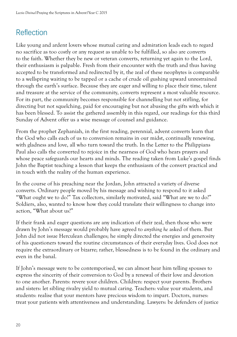#### Reflection

Like young and ardent lovers whose mutual caring and admiration leads each to regard no sacrifice as too costly or any request as unable to be fulfilled, so also are converts to the faith. Whether they be new or veteran converts, returning yet again to the Lord, their enthusiasm is palpable. Fresh from their encounter with the truth and thus having accepted to be transformed and redirected by it, the zeal of these neophytes is comparable to a wellspring waiting to be tapped or a cache of crude oil gushing upward unrestrained through the earth's surface. Because they are eager and willing to place their time, talent and treasure at the service of the community, converts represent a most valuable resource. For its part, the community becomes responsible for channelling but not stifling, for directing but not squelching, paid for encouraging but not abusing the gifts with which it has been blessed. To assist the gathered assembly in this regard, our readings for this third Sunday of Advent offer us a wise message of counsel and guidance.

From the prophet Zephaniah, in the first reading, perennial, advent converts learn that the God who calls each of us to conversion remains in our midst, continually renewing, with gladness and love, all who turn toward the truth. In the Letter to the Philippians Paul also calls the converted to rejoice in the nearness of God who hears prayers and whose peace safeguards our hearts and minds. The reading taken from Luke's gospel finds John the Baptist teaching a lesson that keeps the enthusiasm of the convert practical and in touch with the reality of the human experience.

In the course of his preaching near the Jordan, John attracted a variety of diverse converts. Ordinary people moved by his message and wishing to respond to it asked "What ought we to do?" Tax collectors, similarly motivated, said "What are we to do?" Soldiers, also, wanted to know how they could translate their willingness to change into action, "What about us?"

If their frank and eager questions are any indication of their zeal, then those who were drawn by John's message would probably have agreed to *anything he* asked of them. But John did not issue Herculean challenges; he simply directed the energies and generosity of his questioners toward the routine circumstances of their everyday lives. God does not require the extraordinary or bizarre; rather, blessedness is to be found in the ordinary and even in the banal.

If John's message were to be contemporised, we can almost hear him telling spouses to express the sincerity of their conversion to God by a renewal of their love and devotion to one another. Parents: revere your children. Children: respect your parents. Brothers and sisters: let sibling rivalry yield to mutual caring. Teachers: value your students, and students: realise that your mentors have precious wisdom to impart. Doctors, nurses: treat your patients with attentiveness and understanding. Lawyers: be defenders of justice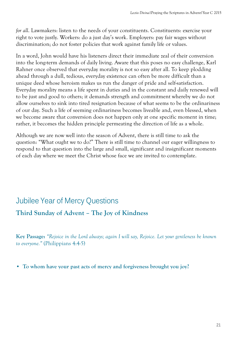*for all*. Lawmakers: listen to the needs of your constituents. Constituents: exercise your right to vote justly. Workers: do a just day's work. Employers: pay fair wages without discrimination; do not foster policies that work against family life or values.

In a word, John would have his listeners direct their immediate zeal of their conversion into the long-term demands of daily living. Aware that this poses no easy challenge, Karl Rahner once observed that everyday morality is not so easy after all. To keep plodding ahead through a dull, tedious, everyday existence can often be more difficult than a unique deed whose heroism makes us run the danger of pride and self-satisfaction. Everyday morality means a life spent in duties and in the constant and daily renewed will to be just and good to others; it demands strength and commitment whereby we do not allow ourselves to sink into tired resignation because of what seems to be the ordinariness of our day. Such a life of seeming ordinariness becomes liveable and, even blessed, when we become aware that conversion does not happen only at one specific moment in time; rather, it becomes the hidden principle permeating the direction of life as a whole.

Although we are now well into the season of Advent, there is still time to ask the question: "What ought we to do?" There is still time to channel our eager willingness to respond to that question into the large and small, significant and insignificant moments of each day where we meet the Christ whose face we are invited to contemplate.

#### Jubilee Year of Mercy Questions **Third Sunday of Advent – The Joy of Kindness**

**Key Passage:** *"Rejoice in the Lord always; again I will say, Rejoice. Let your gentleness be known to everyone."* (Philippians 4:4-5)

**• To whom have your past acts of mercy and forgiveness brought you joy?**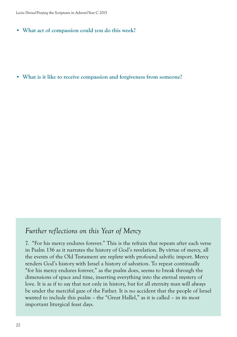**• What act of compassion could you do this week?**

**• What is it like to receive compassion and forgiveness from someone?**

#### *Further reflections on this Year of Mercy*

7. "For his mercy endures forever." This is the refrain that repeats after each verse in Psalm 136 as it narrates the history of God's revelation. By virtue of mercy, all the events of the Old Testament are replete with profound salvific import. Mercy renders God's history with Israel a history of salvation. To repeat continually "for his mercy endures forever," as the psalm does, seems to break through the dimensions of space and time, inserting everything into the eternal mystery of love. It is as if to say that not only in history, but for all eternity man will always be under the merciful gaze of the Father. It is no accident that the people of Israel wanted to include this psalm – the "Great Hallel," as it is called – in its most important liturgical feast days.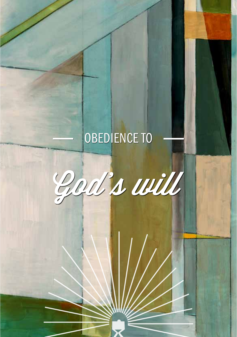## **OBEDIENCE TO**

God's will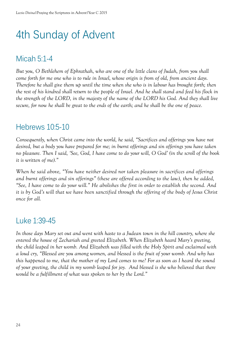## 4th Sunday of Advent

#### Micah 5:1-4

*But you, O Bethlehem of Ephrathah, who are one of the little clans of Judah, from you shall come forth for me one who is to rule in Israel, whose origin is from of old, from ancient days. Therefore he shall give them up until the time when she who is in labour has brought forth; then the rest of his kindred shall return to the people of Israel. And he shall stand and feed his flock in the strength of the LORD, in the majesty of the name of the LORD his God. And they shall live secure, for now he shall be great to the ends of the earth; and he shall be the one of peace.* 

#### Hebrews 10:5-10

*Consequently, when Christ came into the world, he said, "Sacrifices and offerings you have not desired, but a body you have prepared for me; in burnt offerings and sin offerings you have taken no pleasure. Then I said, 'See, God, I have come to do your will, O God' (in the scroll of the book it is written of me)."* 

*When he said above, "You have neither desired nor taken pleasure in sacrifices and offerings and burnt offerings and sin offerings" (these are offered according to the law), then he added, "See, I have come to do your will." He abolishes the first in order to establish the second. And it is by God's will that we have been sanctified through the offering of the body of Jesus Christ once for all.* 

#### Luke 1:39-45

*In those days Mary set out and went with haste to a Judean town in the hill country, where she entered the house of Zechariah and greeted Elizabeth. When Elizabeth heard Mary's greeting, the child leaped in her womb. And Elizabeth was filled with the Holy Spirit and exclaimed with a loud cry, "Blessed are you among women, and blessed is the fruit of your womb. And why has this happened to me, that the mother of my Lord comes to me? For as soon as I heard the sound of your greeting, the child in my womb leaped for joy. And blessed is she who believed that there would be a fulfillment of what was spoken to her by the Lord."*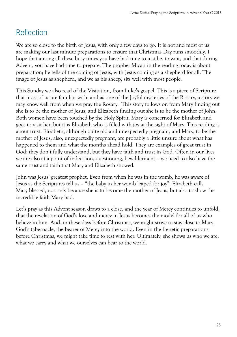#### Reflection

We are so close to the birth of Jesus, with only a few days to go. It is hot and most of us are making our last minute preparations to ensure that Christmas Day runs smoothly. I hope that among all these busy times you have had time to just be, to wait, and that during Advent, you have had time to prepare. The prophet Micah in the reading today is about preparation; he tells of the coming of Jesus, with Jesus coming as a shepherd for all. The image of Jesus as shepherd, and we as his sheep, sits well with most people.

This Sunday we also read of the Visitation, from Luke's gospel. This is a piece of Scripture that most of us are familiar with, and as one of the Joyful mysteries of the Rosary, a story we may know well from when we pray the Rosary. This story follows on from Mary finding out she is to be the mother of Jesus, and Elizabeth finding out she is to be the mother of John. Both women have been touched by the Holy Spirit. Mary is concerned for Elizabeth and goes to visit her, but it is Elizabeth who is filled with joy at the sight of Mary. This reading is about trust. Elizabeth, although quite old and unexpectedly pregnant, and Mary, to be the mother of Jesus, also, unexpectedly pregnant, are probably a little unsure about what has happened to them and what the months ahead hold. They are examples of great trust in God; they don't fully understand, but they have faith and trust in God. Often in our lives we are also at a point of indecision, questioning, bewilderment – we need to also have the same trust and faith that Mary and Elizabeth showed.

John was Jesus' greatest prophet. Even from when he was in the womb, he was aware of Jesus as the Scriptures tell us – "the baby in her womb leaped for joy". Elizabeth calls Mary blessed, not only because she is to become the mother of Jesus, but also to show the incredible faith Mary had.

Let's pray as this Advent season draws to a close, and the year of Mercy continues to unfold, that the revelation of God's love and mercy in Jesus becomes the model for all of us who believe in him. And, in these days before Christmas, we might strive to stay close to Mary, God's tabernacle, the bearer of Mercy into the world. Even in the frenetic preparations before Christmas, we might take time to rest with her. Ultimately, she shows us who we are, what we carry and what we ourselves can bear to the world.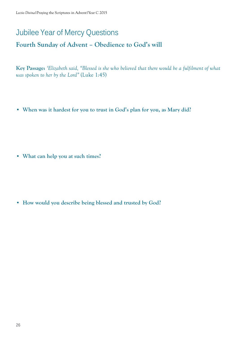#### Jubilee Year of Mercy Questions

#### **Fourth Sunday of Advent – Obedience to God's will**

**Key Passage:** *'Elizabeth said, "Blessed is she who believed that there would be a fulfilment of what was spoken to her by the Lord"* (Luke 1:45)

**• When was it hardest for you to trust in God's plan for you, as Mary did?**

**• What can help you at such times?**

**• How would you describe being blessed and trusted by God?**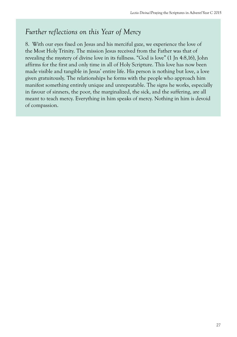#### *Further reflections on this Year of Mercy*

8. With our eyes fixed on Jesus and his merciful gaze, we experience the love of the Most Holy Trinity. The mission Jesus received from the Father was that of revealing the mystery of divine love in its fullness. "God is love" (1 Jn 4:8,16), John affirms for the first and only time in all of Holy Scripture. This love has now been made visible and tangible in Jesus' entire life. His person is nothing but love, a love given gratuitously. The relationships he forms with the people who approach him manifest something entirely unique and unrepeatable. The signs he works, especially in favour of sinners, the poor, the marginalized, the sick, and the suffering, are all meant to teach mercy. Everything in him speaks of mercy. Nothing in him is devoid of compassion.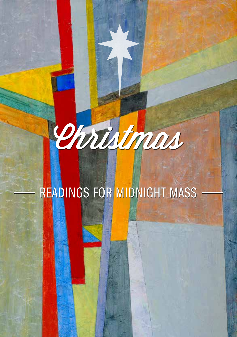

## **READINGS FOR MIDNIGHT MASS**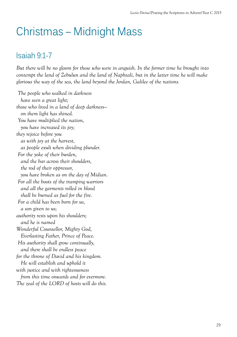## Christmas – Midnight Mass

#### Isaiah 9:1-7

*But there will be no gloom for those who were in anguish. In the former time he brought into contempt the land of Zebulun and the land of Naphtali, but in the latter time he will make glorious the way of the sea, the land beyond the Jordan, Galilee of the nations.* 

 *The people who walked in darkness have seen a great light; those who lived in a land of deep darkness on them light has shined. You have multiplied the nation, you have increased its joy; they rejoice before you as with joy at the harvest, as people exult when dividing plunder. For the yoke of their burden, and the bar across their shoulders, the rod of their oppressor, you have broken as on the day of Midian. For all the boots of the tramping warriors and all the garments rolled in blood shall be burned as fuel for the fire. For a child has been born for us, a son given to us; authority rests upon his shoulders; and he is named Wonderful Counsellor, Mighty God, Everlasting Father, Prince of Peace. His authority shall grow continually, and there shall be endless peace for the throne of David and his kingdom. He will establish and uphold it with justice and with righteousness from this time onwards and for evermore. The zeal of the LORD of hosts will do this.*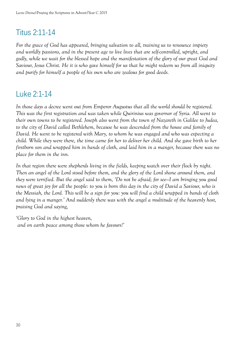#### Titus 2:11-14

*For the grace of God has appeared, bringing salvation to all, training us to renounce impiety and worldly passions, and in the present age to live lives that are self-controlled, upright, and godly, while we wait for the blessed hope and the manifestation of the glory of our great God and Saviour, Jesus Christ. He it is who gave himself for us that he might redeem us from all iniquity and purify for himself a people of his own who are zealous for good deeds.* 

#### Luke 2:1-14

*In those days a decree went out from Emperor Augustus that all the world should be registered. This was the first registration and was taken while Quirinius was governor of Syria. All went to their own towns to be registered. Joseph also went from the town of Nazareth in Galilee to Judea, to the city of David called Bethlehem, because he was descended from the house and family of David. He went to be registered with Mary, to whom he was engaged and who was expecting a child. While they were there, the time came for her to deliver her child. And she gave birth to her firstborn son and wrapped him in bands of cloth, and laid him in a manger, because there was no place for them in the inn.* 

*In that region there were shepherds living in the fields, keeping watch over their flock by night. Then an angel of the Lord stood before them, and the glory of the Lord shone around them, and they were terrified. But the angel said to them, 'Do not be afraid; for see—I am bringing you good news of great joy for all the people: to you is born this day in the city of David a Saviour, who is the Messiah, the Lord. This will be a sign for you: you will find a child wrapped in bands of cloth and lying in a manger.' And suddenly there was with the angel a multitude of the heavenly host, praising God and saying,* 

*'Glory to God in the highest heaven, and on earth peace among those whom he favours!'*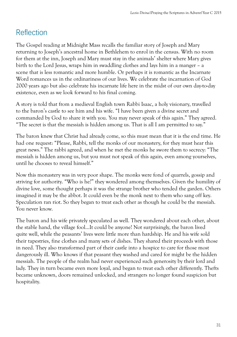#### Reflection

The Gospel reading at Midnight Mass recalls the familiar story of Joseph and Mary returning to Joseph's ancestral home in Bethlehem to enrol in the census. With no room for them at the inn, Joseph and Mary must stay in the animals' shelter where Mary gives birth to the Lord Jesus, wraps him in swaddling clothes and lays him in a manger – a scene that is less romantic and more humble. Or perhaps it is romantic as the Incarnate Word romances us in the ordinariness of our lives. We celebrate the incarnation of God 2000 years ago but also celebrate his incarnate life here in the midst of our own day-to-day existence, even as we look forward to his final coming.

A story is told that from a medieval English town Rabbi Isaac, a holy visionary, travelled to the baron's castle to see him and his wife. "I have been given a divine secret and commanded by God to share it with you. You may never speak of this again." They agreed. "The secret is that the messiah is hidden among us. That is all I am permitted to say."

The baron knew that Christ had already come, so this must mean that it is the end time. He had one request: "Please, Rabbi, tell the monks of our monastery, for they must hear this great news." The rabbi agreed, and when he met the monks he swore them to secrecy: "The messiah is hidden among us, but you must not speak of this again, even among yourselves, until he chooses to reveal himself."

Now this monastery was in very poor shape. The monks were fond of quarrels, gossip and striving for authority. "Who is he?" they wondered among themselves. Given the humility of divine love, some thought perhaps it was the strange brother who tended the garden. Others imagined it may be the abbot. It could even be the monk next to them who sang off key. Speculation ran riot. So they began to treat each other as though he could be the messiah. You never know.

The baron and his wife privately speculated as well. They wondered about each other, about the stable hand, the village fool…It could be anyone! Not surprisingly, the baron lived quite well, while the peasants' lives were little more than hardship. He and his wife sold their tapestries, fine clothes and many sets of dishes. They shared their proceeds with those in need. They also transformed part of their castle into a hospice to care for those most dangerously ill. Who knows if that peasant they washed and cared for might be the hidden messiah. The people of the realm had never experienced such generosity by their lord and lady. They in turn became even more loyal, and began to treat each other differently. Thefts became unknown, doors remained unlocked, and strangers no longer found suspicion but hospitality.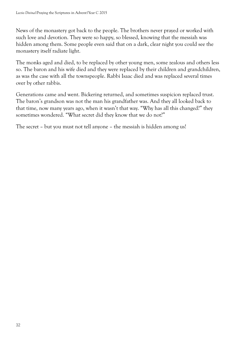News of the monastery got back to the people. The brothers never prayed or worked with such love and devotion. They were so happy, so blessed, knowing that the messiah was hidden among them. Some people even said that on a dark, clear night you could see the monastery itself radiate light.

The monks aged and died, to be replaced by other young men, some zealous and others less so. The baron and his wife died and they were replaced by their children and grandchildren, as was the case with all the townspeople. Rabbi Isaac died and was replaced several times over by other rabbis.

Generations came and went. Bickering returned, and sometimes suspicion replaced trust. The baron's grandson was not the man his grandfather was. And they all looked back to that time, now many years ago, when it wasn't that way. "Why has all this changed?" they sometimes wondered. "What secret did they know that we do not?"

The secret – but you must not tell anyone – the messiah is hidden among us!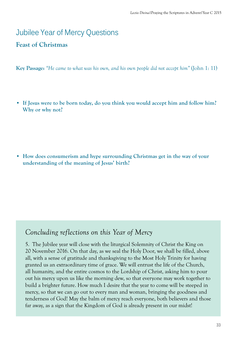### Jubilee Year of Mercy Questions

#### **Feast of Christmas**

**Key Passage:** *"He came to what was his own, and his own people did not accept him"* (John 1: 11)

**• If Jesus were to be born today, do you think you would accept him and follow him? Why or why not?**

**• How does consumerism and hype surrounding Christmas get in the way of your understanding of the meaning of Jesus' birth?**

#### *Concluding reflections on this Year of Mercy*

5. The Jubilee year will close with the liturgical Solemnity of Christ the King on 20 November 2016. On that day, as we seal the Holy Door, we shall be filled, above all, with a sense of gratitude and thanksgiving to the Most Holy Trinity for having granted us an extraordinary time of grace. We will entrust the life of the Church, all humanity, and the entire cosmos to the Lordship of Christ, asking him to pour out his mercy upon us like the morning dew, so that everyone may work together to build a brighter future. How much I desire that the year to come will be steeped in mercy, so that we can go out to every man and woman, bringing the goodness and tenderness of God! May the balm of mercy reach everyone, both believers and those far away, as a sign that the Kingdom of God is already present in our midst!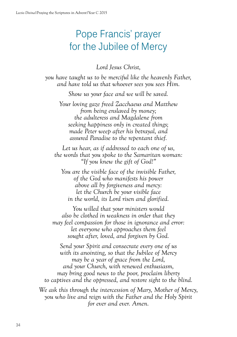## Pope Francis' prayer for the Jubilee of Mercy

*Lord Jesus Christ,*

*you have taught us to be merciful like the heavenly Father, and have told us that whoever sees you sees Him.*

*Show us your face and we will be saved.*

*Your loving gaze freed Zacchaeus and Matthew from being enslaved by money; the adulteress and Magdalene from seeking happiness only in created things; made Peter weep after his betrayal, and assured Paradise to the repentant thief.*

*Let us hear, as if addressed to each one of us, the words that you spoke to the Samaritan woman: "If you knew the gift of God!"*

*You are the visible face of the invisible Father, of the God who manifests his power above all by forgiveness and mercy: let the Church be your visible face in the world, its Lord risen and glorified.*

*You willed that your ministers would also be clothed in weakness in order that they may feel compassion for those in ignorance and error: let everyone who approaches them feel sought after, loved, and forgiven by God.*

*Send your Spirit and consecrate every one of us with its anointing, so that the Jubilee of Mercy may be a year of grace from the Lord, and your Church, with renewed enthusiasm, may bring good news to the poor, proclaim liberty to captives and the oppressed, and restore sight to the blind.* 

*We ask this through the intercession of Mary, Mother of Mercy, you who live and reign with the Father and the Holy Spirit for ever and ever. Amen.*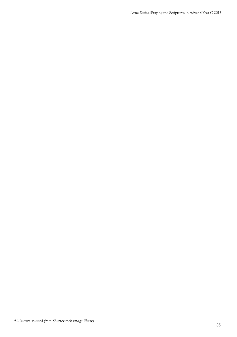*Lectio Divina* **|**Praying the Scriptures in Advent **|**Year C 2015